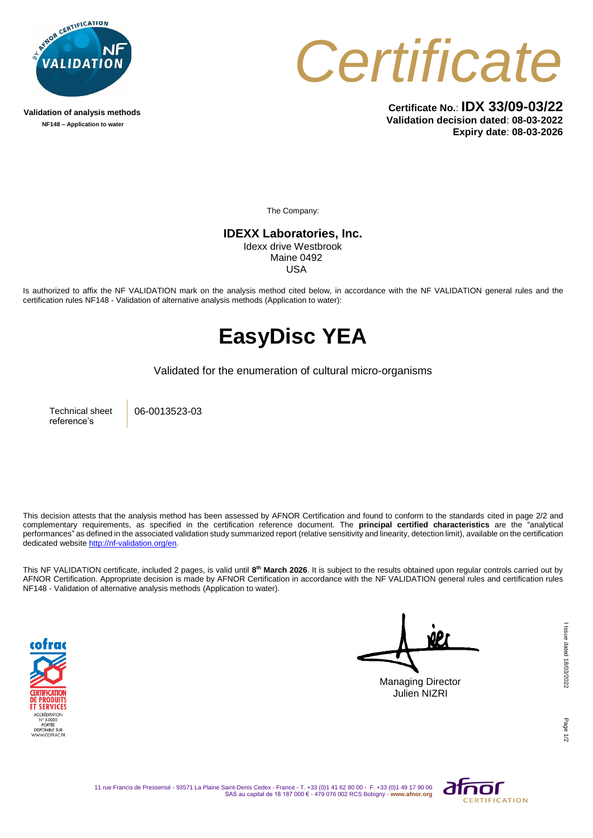

**Validation of analysis methods NF148 – Application to water**



**Certificate No.**: **IDX 33/09-03/22 Validation decision dated**: **08-03-2022 Expiry date**: **08-03-2026**

The Company:

**IDEXX Laboratories, Inc.** Idexx drive Westbrook Maine 0492

USA

Is authorized to affix the NF VALIDATION mark on the analysis method cited below, in accordance with the NF VALIDATION general rules and the certification rules NF148 - Validation of alternative analysis methods (Application to water):

## **EasyDisc YEA**

Validated for the enumeration of cultural micro-organisms

Technical sheet reference's

06-0013523-03

This decision attests that the analysis method has been assessed by AFNOR Certification and found to conform to the standards cited in page 2/2 and complementary requirements, as specified in the certification reference document. The **principal certified characteristics** are the "analytical performances" as defined in the associated validation study summarized report (relative sensitivity and linearity, detection limit), available on the certification dedicated websit[e http://nf-validation.org/en.](http://nf-validation.org/en)

This NF VALIDATION certificate, included 2 pages, is valid until 8<sup>th</sup> March 2026. It is subject to the results obtained upon regular controls carried out by AFNOR Certification. Appropriate decision is made by AFNOR Certification in accordance with the NF VALIDATION general rules and certification rules NF148 - Validation of alternative analysis methods (Application to water).



Managing Director Julien NIZRI

Page